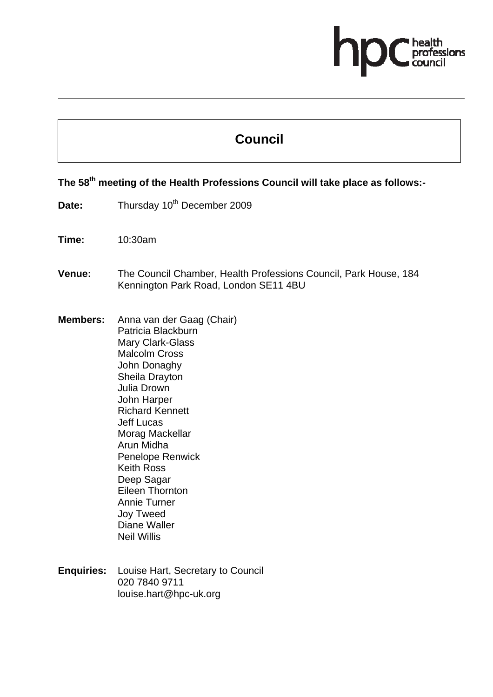# fessions

# **Council**

## **The 58th meeting of the Health Professions Council will take place as follows:-**

- Date: Thursday 10<sup>th</sup> December 2009
- **Time:** 10:30am
- **Venue:** The Council Chamber, Health Professions Council, Park House, 184 Kennington Park Road, London SE11 4BU
- **Members:** Anna van der Gaag (Chair) Patricia Blackburn Mary Clark-Glass Malcolm Cross John Donaghy Sheila Drayton Julia Drown John Harper Richard Kennett Jeff Lucas Morag Mackellar Arun Midha Penelope Renwick Keith Ross Deep Sagar Eileen Thornton Annie Turner Joy Tweed Diane Waller Neil Willis
- **Enquiries:** Louise Hart, Secretary to Council 020 7840 9711 louise.hart@hpc-uk.org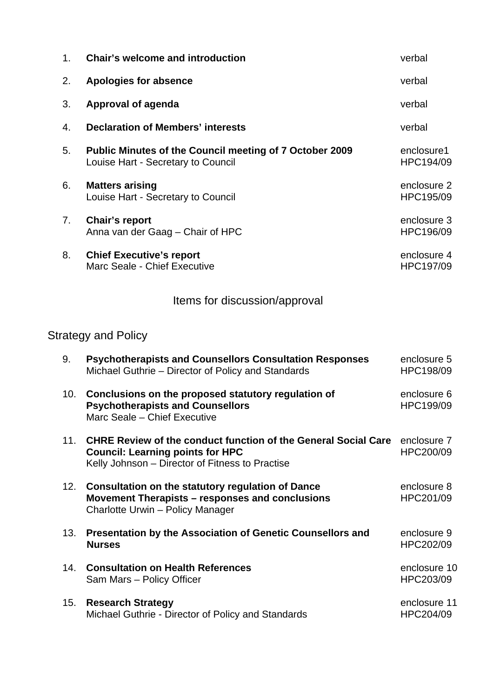| 1 <sub>1</sub> | <b>Chair's welcome and introduction</b>                                                              | verbal                   |
|----------------|------------------------------------------------------------------------------------------------------|--------------------------|
| 2.             | Apologies for absence                                                                                | verbal                   |
| 3.             | <b>Approval of agenda</b>                                                                            | verbal                   |
| 4.             | <b>Declaration of Members' interests</b>                                                             | verbal                   |
| 5.             | <b>Public Minutes of the Council meeting of 7 October 2009</b><br>Louise Hart - Secretary to Council | enclosure1<br>HPC194/09  |
| 6.             | <b>Matters arising</b><br>Louise Hart - Secretary to Council                                         | enclosure 2<br>HPC195/09 |
| 7.             | <b>Chair's report</b><br>Anna van der Gaag – Chair of HPC                                            | enclosure 3<br>HPC196/09 |
| 8.             | <b>Chief Executive's report</b><br>Marc Seale - Chief Executive                                      | enclosure 4<br>HPC197/09 |

## Items for discussion/approval

# Strategy and Policy

| 9.  | <b>Psychotherapists and Counsellors Consultation Responses</b><br>Michael Guthrie – Director of Policy and Standards                                                | enclosure 5<br>HPC198/09  |
|-----|---------------------------------------------------------------------------------------------------------------------------------------------------------------------|---------------------------|
| 10. | Conclusions on the proposed statutory regulation of<br><b>Psychotherapists and Counsellors</b><br>Marc Seale - Chief Executive                                      | enclosure 6<br>HPC199/09  |
| 11. | <b>CHRE Review of the conduct function of the General Social Care</b><br><b>Council: Learning points for HPC</b><br>Kelly Johnson - Director of Fitness to Practise | enclosure 7<br>HPC200/09  |
| 12. | <b>Consultation on the statutory regulation of Dance</b><br>Movement Therapists – responses and conclusions<br>Charlotte Urwin - Policy Manager                     | enclosure 8<br>HPC201/09  |
| 13. | <b>Presentation by the Association of Genetic Counsellors and</b><br><b>Nurses</b>                                                                                  | enclosure 9<br>HPC202/09  |
| 14. | <b>Consultation on Health References</b><br>Sam Mars - Policy Officer                                                                                               | enclosure 10<br>HPC203/09 |
| 15. | <b>Research Strategy</b><br>Michael Guthrie - Director of Policy and Standards                                                                                      | enclosure 11<br>HPC204/09 |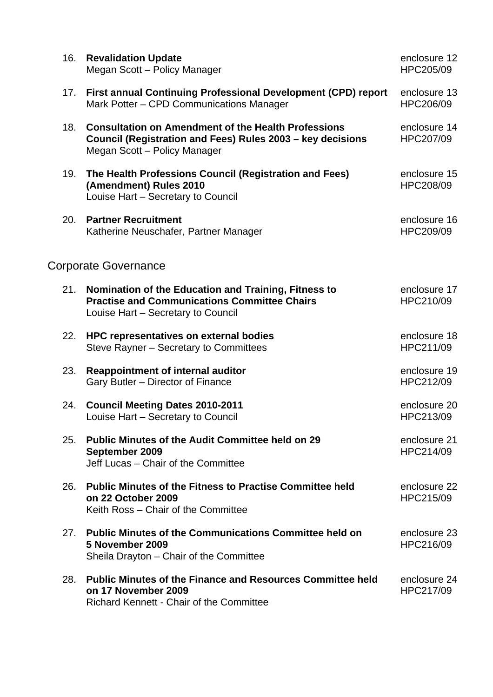| 16. | <b>Revalidation Update</b><br>Megan Scott - Policy Manager                                                                                               | enclosure 12<br>HPC205/09 |
|-----|----------------------------------------------------------------------------------------------------------------------------------------------------------|---------------------------|
| 17. | First annual Continuing Professional Development (CPD) report<br>Mark Potter - CPD Communications Manager                                                | enclosure 13<br>HPC206/09 |
| 18. | <b>Consultation on Amendment of the Health Professions</b><br>Council (Registration and Fees) Rules 2003 - key decisions<br>Megan Scott - Policy Manager | enclosure 14<br>HPC207/09 |
| 19. | The Health Professions Council (Registration and Fees)<br>(Amendment) Rules 2010<br>Louise Hart - Secretary to Council                                   | enclosure 15<br>HPC208/09 |
| 20. | <b>Partner Recruitment</b><br>Katherine Neuschafer, Partner Manager                                                                                      | enclosure 16<br>HPC209/09 |
|     | <b>Corporate Governance</b>                                                                                                                              |                           |
| 21. | Nomination of the Education and Training, Fitness to<br><b>Practise and Communications Committee Chairs</b><br>Louise Hart - Secretary to Council        | enclosure 17<br>HPC210/09 |
| 22. | HPC representatives on external bodies<br>Steve Rayner - Secretary to Committees                                                                         | enclosure 18<br>HPC211/09 |
| 23. | <b>Reappointment of internal auditor</b><br>Gary Butler - Director of Finance                                                                            | enclosure 19<br>HPC212/09 |
| 24. | <b>Council Meeting Dates 2010-2011</b><br>Louise Hart - Secretary to Council                                                                             | enclosure 20<br>HPC213/09 |
| 25. | <b>Public Minutes of the Audit Committee held on 29</b><br>September 2009<br>Jeff Lucas - Chair of the Committee                                         | enclosure 21<br>HPC214/09 |
| 26. | <b>Public Minutes of the Fitness to Practise Committee held</b><br>on 22 October 2009<br>Keith Ross - Chair of the Committee                             | enclosure 22<br>HPC215/09 |
| 27. | <b>Public Minutes of the Communications Committee held on</b><br>5 November 2009<br>Sheila Drayton – Chair of the Committee                              | enclosure 23<br>HPC216/09 |
| 28. | <b>Public Minutes of the Finance and Resources Committee held</b><br>on 17 November 2009<br><b>Richard Kennett - Chair of the Committee</b>              | enclosure 24<br>HPC217/09 |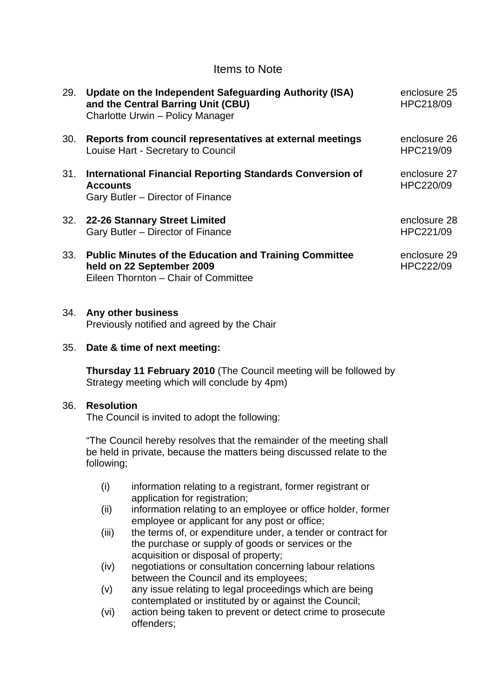### Items to Note

| 29. | Update on the Independent Safeguarding Authority (ISA)<br>and the Central Barring Unit (CBU)<br>Charlotte Urwin - Policy Manager   | enclosure 25<br>HPC218/09 |
|-----|------------------------------------------------------------------------------------------------------------------------------------|---------------------------|
| 30. | Reports from council representatives at external meetings<br>Louise Hart - Secretary to Council                                    | enclosure 26<br>HPC219/09 |
| 31. | International Financial Reporting Standards Conversion of<br><b>Accounts</b><br>Gary Butler – Director of Finance                  | enclosure 27<br>HPC220/09 |
| 32. | 22-26 Stannary Street Limited<br>Gary Butler - Director of Finance                                                                 | enclosure 28<br>HPC221/09 |
| 33. | <b>Public Minutes of the Education and Training Committee</b><br>held on 22 September 2009<br>Eileen Thornton - Chair of Committee | enclosure 29<br>HPC222/09 |

#### 34. **Any other business**

Previously notified and agreed by the Chair

#### 35. **Date & time of next meeting:**

**Thursday 11 February 2010** (The Council meeting will be followed by Strategy meeting which will conclude by 4pm)

#### 36. **Resolution**

The Council is invited to adopt the following:

"The Council hereby resolves that the remainder of the meeting shall be held in private, because the matters being discussed relate to the following;

- (i) information relating to a registrant, former registrant or application for registration;
- (ii) information relating to an employee or office holder, former employee or applicant for any post or office;
- (iii) the terms of, or expenditure under, a tender or contract for the purchase or supply of goods or services or the acquisition or disposal of property;
- (iv) negotiations or consultation concerning labour relations between the Council and its employees;
- (v) any issue relating to legal proceedings which are being contemplated or instituted by or against the Council;
- (vi) action being taken to prevent or detect crime to prosecute offenders;